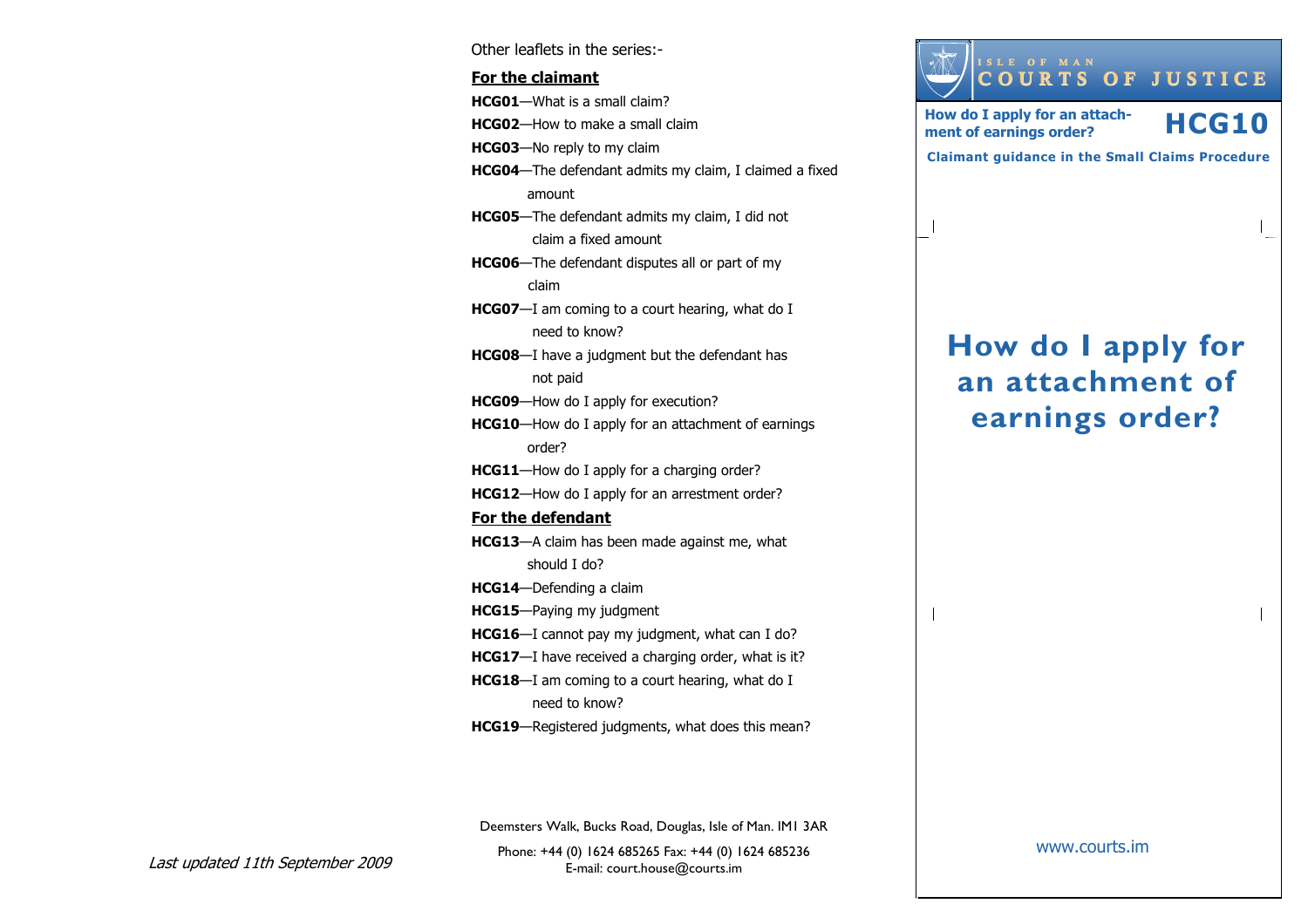Other leaflets in the series:- For the claimantHCG01—What is a small claim? HCG02—How to make a small claim HCG03—No reply to my claim HCG04—The defendant admits my claim, I claimed a fixed amount HCG05—The defendant admits my claim, I did not claim a fixed amount HCG06—The defendant disputes all or part of my claim HCG07—I am coming to a court hearing, what do I need to know? HCG08—I have a judgment but the defendant has not paid HCG09—How do I apply for execution? HCG10—How do I apply for an attachment of earnings order? HCG11—How do I apply for a charging order? HCG12—How do I apply for an arrestment order? For the defendantHCG13—A claim has been made against me, what should I do? HCG14—Defending a claim HCG15—Paying my judgment HCG16—I cannot pay my judgment, what can I do? HCG17-I have received a charging order, what is it? HCG18—I am coming to a court hearing, what do I need to know? HCG19—Registered judgments, what does this mean?

How do I apply for an attachment of

How do I apply for an attach-

ISLE OF MAN<br>COURTS OF JUSTICE

How do I apply for an attach-<br>ment of earnings order? **HCG10** 

Claimant guidance in the Small Claims Procedure

earnings order?

www.courts.im

Last updated 11th September 2009

Phone: +44 (0) 1624 685265 Fax: +44 (0) 1624 685236E-mail: court.house@courts.im Deemsters Walk, Bucks Road, Douglas, Isle of Man. IM1 3AR